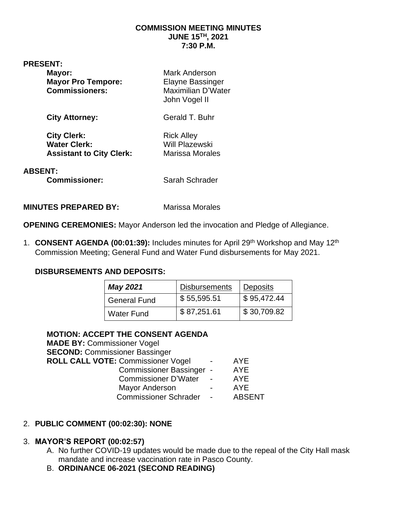#### **COMMISSION MEETING MINUTES JUNE 15TH, 2021 7:30 P.M.**

#### **PRESENT:**

| Mayor:<br><b>Mayor Pro Tempore:</b><br><b>Commissioners:</b>                 | <b>Mark Anderson</b><br>Elayne Bassinger<br>Maximilian D'Water<br>John Vogel II |  |  |  |
|------------------------------------------------------------------------------|---------------------------------------------------------------------------------|--|--|--|
| <b>City Attorney:</b>                                                        | Gerald T. Buhr                                                                  |  |  |  |
| <b>City Clerk:</b><br><b>Water Clerk:</b><br><b>Assistant to City Clerk:</b> | <b>Rick Alley</b><br><b>Will Plazewski</b><br><b>Marissa Morales</b>            |  |  |  |
| <b>ABSENT:</b><br><b>Commissioner:</b>                                       | Sarah Schrader                                                                  |  |  |  |

**MINUTES PREPARED BY:** Marissa Morales

**OPENING CEREMONIES:** Mayor Anderson led the invocation and Pledge of Allegiance.

1. **CONSENT AGENDA (00:01:39):** Includes minutes for April 29th Workshop and May 12th Commission Meeting; General Fund and Water Fund disbursements for May 2021.

#### **DISBURSEMENTS AND DEPOSITS:**

| <b>May 2021</b>     | <b>Disbursements</b> | <b>Deposits</b> |
|---------------------|----------------------|-----------------|
| <b>General Fund</b> | \$55,595.51          | \$95,472.44     |
| <b>Water Fund</b>   | \$87,251.61          | \$30,709.82     |

#### **MOTION: ACCEPT THE CONSENT AGENDA**

**MADE BY:** Commissioner Vogel **SECOND:** Commissioner Bassinger **ROLL CALL VOTE: Commissioner Vogel - AYE** Commissioner Bassinger - AYE Commissioner D'Water - AYE Mayor Anderson **- AYE** Commissioner Schrader - ABSENT

#### 2. **PUBLIC COMMENT (00:02:30): NONE**

#### 3. **MAYOR'S REPORT (00:02:57)**

- A. No further COVID-19 updates would be made due to the repeal of the City Hall mask mandate and increase vaccination rate in Pasco County.
- B. **ORDINANCE 06-2021 (SECOND READING)**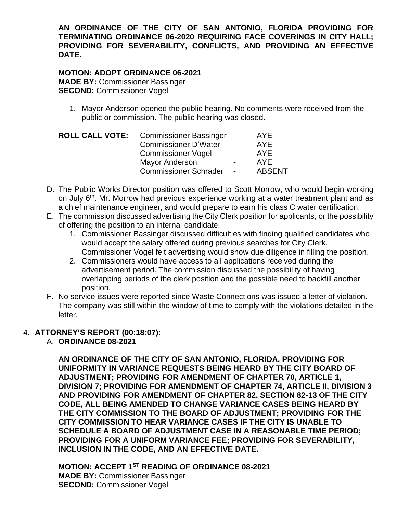**AN ORDINANCE OF THE CITY OF SAN ANTONIO, FLORIDA PROVIDING FOR TERMINATING ORDINANCE 06-2020 REQUIRING FACE COVERINGS IN CITY HALL; PROVIDING FOR SEVERABILITY, CONFLICTS, AND PROVIDING AN EFFECTIVE DATE.**

#### **MOTION: ADOPT ORDINANCE 06-2021 MADE BY:** Commissioner Bassinger **SECOND:** Commissioner Vogel

1. Mayor Anderson opened the public hearing. No comments were received from the public or commission. The public hearing was closed.

|                              |                          | <b>AYE</b>                                                       |
|------------------------------|--------------------------|------------------------------------------------------------------|
| <b>Commissioner D'Water</b>  | $\blacksquare$           | <b>AYE</b>                                                       |
| <b>Commissioner Vogel</b>    | $\overline{\phantom{0}}$ | <b>AYE</b>                                                       |
| <b>Mayor Anderson</b>        | $\overline{\phantom{0}}$ | <b>AYE</b>                                                       |
| <b>Commissioner Schrader</b> |                          | <b>ABSENT</b>                                                    |
|                              |                          | ROLL CALL VOTE: Commissioner Bassinger -<br>$\sim 100$ m $^{-1}$ |

- D. The Public Works Director position was offered to Scott Morrow, who would begin working on July 6<sup>th</sup>. Mr. Morrow had previous experience working at a water treatment plant and as a chief maintenance engineer, and would prepare to earn his class C water certification.
- E. The commission discussed advertising the City Clerk position for applicants, or the possibility of offering the position to an internal candidate.
	- 1. Commissioner Bassinger discussed difficulties with finding qualified candidates who would accept the salary offered during previous searches for City Clerk. Commissioner Vogel felt advertising would show due diligence in filling the position.
	- 2. Commissioners would have access to all applications received during the advertisement period. The commission discussed the possibility of having overlapping periods of the clerk position and the possible need to backfill another position.
- F. No service issues were reported since Waste Connections was issued a letter of violation. The company was still within the window of time to comply with the violations detailed in the letter.

## 4. **ATTORNEY'S REPORT (00:18:07):**

A. **ORDINANCE 08-2021**

**AN ORDINANCE OF THE CITY OF SAN ANTONIO, FLORIDA, PROVIDING FOR UNIFORMITY IN VARIANCE REQUESTS BEING HEARD BY THE CITY BOARD OF ADJUSTMENT; PROVIDING FOR AMENDMENT OF CHAPTER 70, ARTICLE 1, DIVISION 7; PROVIDING FOR AMENDMENT OF CHAPTER 74, ARTICLE II, DIVISION 3 AND PROVIDING FOR AMENDMENT OF CHAPTER 82, SECTION 82-13 OF THE CITY CODE, ALL BEING AMENDED TO CHANGE VARIANCE CASES BEING HEARD BY THE CITY COMMISSION TO THE BOARD OF ADJUSTMENT; PROVIDING FOR THE CITY COMMISSION TO HEAR VARIANCE CASES IF THE CITY IS UNABLE TO SCHEDULE A BOARD OF ADJUSTMENT CASE IN A REASONABLE TIME PERIOD; PROVIDING FOR A UNIFORM VARIANCE FEE; PROVIDING FOR SEVERABILITY, INCLUSION IN THE CODE, AND AN EFFECTIVE DATE.**

**MOTION: ACCEPT 1ST READING OF ORDINANCE 08-2021 MADE BY:** Commissioner Bassinger **SECOND:** Commissioner Vogel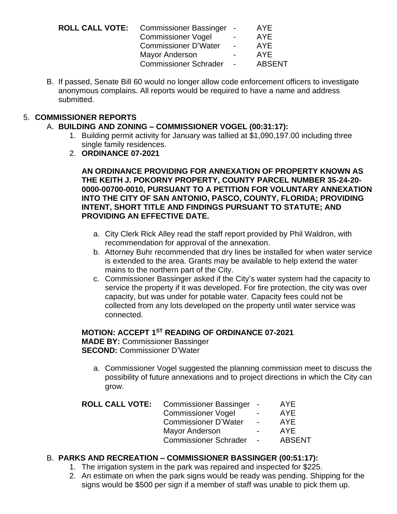| <b>ROLL CALL VOTE:</b> Commissioner Bassinger - |                | AYE           |
|-------------------------------------------------|----------------|---------------|
| <b>Commissioner Vogel</b>                       | $\blacksquare$ | AYE.          |
| <b>Commissioner D'Water</b>                     | $\sim$         | AYE           |
| Mayor Anderson                                  | $\blacksquare$ | <b>AYE</b>    |
| <b>Commissioner Schrader</b>                    | $\sim$         | <b>ABSENT</b> |
|                                                 |                |               |

B. If passed, Senate Bill 60 would no longer allow code enforcement officers to investigate anonymous complains. All reports would be required to have a name and address submitted.

## 5. **COMMISSIONER REPORTS**

### A. **BUILDING AND ZONING – COMMISSIONER VOGEL (00:31:17):**

- 1. Building permit activity for January was tallied at \$1,090,197.00 including three single family residences.
- 2. **ORDINANCE 07-2021**

**AN ORDINANCE PROVIDING FOR ANNEXATION OF PROPERTY KNOWN AS THE KEITH J. POKORNY PROPERTY, COUNTY PARCEL NUMBER 35-24-20- 0000-00700-0010, PURSUANT TO A PETITION FOR VOLUNTARY ANNEXATION INTO THE CITY OF SAN ANTONIO, PASCO, COUNTY, FLORIDA; PROVIDING INTENT, SHORT TITLE AND FINDINGS PURSUANT TO STATUTE; AND PROVIDING AN EFFECTIVE DATE.**

- a. City Clerk Rick Alley read the staff report provided by Phil Waldron, with recommendation for approval of the annexation.
- b. Attorney Buhr recommended that dry lines be installed for when water service is extended to the area. Grants may be available to help extend the water mains to the northern part of the City.
- c. Commissioner Bassinger asked if the City's water system had the capacity to service the property if it was developed. For fire protection, the city was over capacity, but was under for potable water. Capacity fees could not be collected from any lots developed on the property until water service was connected.

#### **MOTION: ACCEPT 1ST READING OF ORDINANCE 07-2021**

**MADE BY:** Commissioner Bassinger **SECOND:** Commissioner D'Water

a. Commissioner Vogel suggested the planning commission meet to discuss the possibility of future annexations and to project directions in which the City can grow.

| <b>ROLL CALL VOTE:</b> | Commissioner Bassinger -     |                          | <b>AYE</b>    |
|------------------------|------------------------------|--------------------------|---------------|
|                        | <b>Commissioner Vogel</b>    | $\sim$                   | AYE.          |
|                        | <b>Commissioner D'Water</b>  | <b>Contract Contract</b> | AYE           |
|                        | <b>Mayor Anderson</b>        | $\sim$                   | AYE.          |
|                        | <b>Commissioner Schrader</b> | $\sim$ $-$               | <b>ABSENT</b> |
|                        |                              |                          |               |

## B. **PARKS AND RECREATION – COMMISSIONER BASSINGER (00:51:17):**

- 1. The irrigation system in the park was repaired and inspected for \$225.
- 2. An estimate on when the park signs would be ready was pending. Shipping for the signs would be \$500 per sign if a member of staff was unable to pick them up.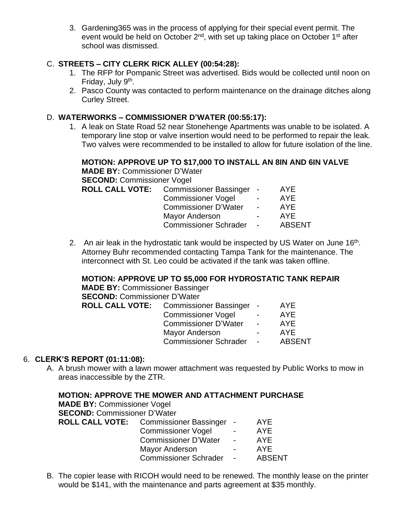3. Gardening365 was in the process of applying for their special event permit. The event would be held on October 2<sup>nd</sup>, with set up taking place on October 1<sup>st</sup> after school was dismissed.

### C. **STREETS – CITY CLERK RICK ALLEY (00:54:28):**

- 1. The RFP for Pompanic Street was advertised. Bids would be collected until noon on Friday, July 9<sup>th</sup>.
- 2. Pasco County was contacted to perform maintenance on the drainage ditches along Curley Street.

#### D. **WATERWORKS – COMMISSIONER D'WATER (00:55:17):**

1. A leak on State Road 52 near Stonehenge Apartments was unable to be isolated. A temporary line stop or valve insertion would need to be performed to repair the leak. Two valves were recommended to be installed to allow for future isolation of the line.

## **MOTION: APPROVE UP TO \$17,000 TO INSTALL AN 8IN AND 6IN VALVE**

| <b>MADE BY: Commissioner D'Water</b> |                                               |            |               |
|--------------------------------------|-----------------------------------------------|------------|---------------|
| <b>SECOND: Commissioner Vogel</b>    |                                               |            |               |
|                                      | <b>ROLL CALL VOTE:</b> Commissioner Bassinger |            | AYE           |
|                                      | <b>Commissioner Vogel</b>                     |            | AYE.          |
|                                      | Commissioner D'Water -                        |            | AYE           |
|                                      | <b>Mayor Anderson</b>                         |            | AYE           |
|                                      | <b>Commissioner Schrader</b>                  | $\sim 100$ | <b>ABSENT</b> |
|                                      |                                               |            |               |

2. An air leak in the hydrostatic tank would be inspected by US Water on June  $16<sup>th</sup>$ . Attorney Buhr recommended contacting Tampa Tank for the maintenance. The interconnect with St. Leo could be activated if the tank was taken offline.

#### **MOTION: APPROVE UP TO \$5,000 FOR HYDROSTATIC TANK REPAIR**

**MADE BY:** Commissioner Bassinger **SECOND:** Commissioner D'Water **ROLL CALL VOTE:** Commissioner Bassinger - AYE

| <b>POTTITTIOOIOTIOT</b> Dabolitigot |                          | . <u>.</u>    |
|-------------------------------------|--------------------------|---------------|
| <b>Commissioner Vogel</b>           | $\blacksquare$           | <b>AYE</b>    |
| <b>Commissioner D'Water</b>         | $\overline{\phantom{0}}$ | AYE           |
| <b>Mayor Anderson</b>               | $\overline{\phantom{0}}$ | AYF           |
| <b>Commissioner Schrader</b>        |                          | <b>ABSENT</b> |

## 6. **CLERK'S REPORT (01:11:08):**

A. A brush mower with a lawn mower attachment was requested by Public Works to mow in areas inaccessible by the ZTR.

| MOTION: APPROVE THE MOWER AND ATTACHMENT PURCHASE |                                                 |                 |               |  |  |
|---------------------------------------------------|-------------------------------------------------|-----------------|---------------|--|--|
| <b>MADE BY: Commissioner Vogel</b>                |                                                 |                 |               |  |  |
| <b>SECOND: Commissioner D'Water</b>               |                                                 |                 |               |  |  |
|                                                   | <b>ROLL CALL VOTE:</b> Commissioner Bassinger - |                 | AYE           |  |  |
|                                                   | <b>Commissioner Vogel</b>                       | $\sim 100$      | <b>AYE</b>    |  |  |
|                                                   | Commissioner D'Water -                          |                 | <b>AYE</b>    |  |  |
|                                                   | <b>Mayor Anderson</b>                           | $\sim 100$      | <b>AYE</b>    |  |  |
|                                                   | <b>Commissioner Schrader</b>                    | $\sim 10^{-10}$ | <b>ABSENT</b> |  |  |

B. The copier lease with RICOH would need to be renewed. The monthly lease on the printer would be \$141, with the maintenance and parts agreement at \$35 monthly.